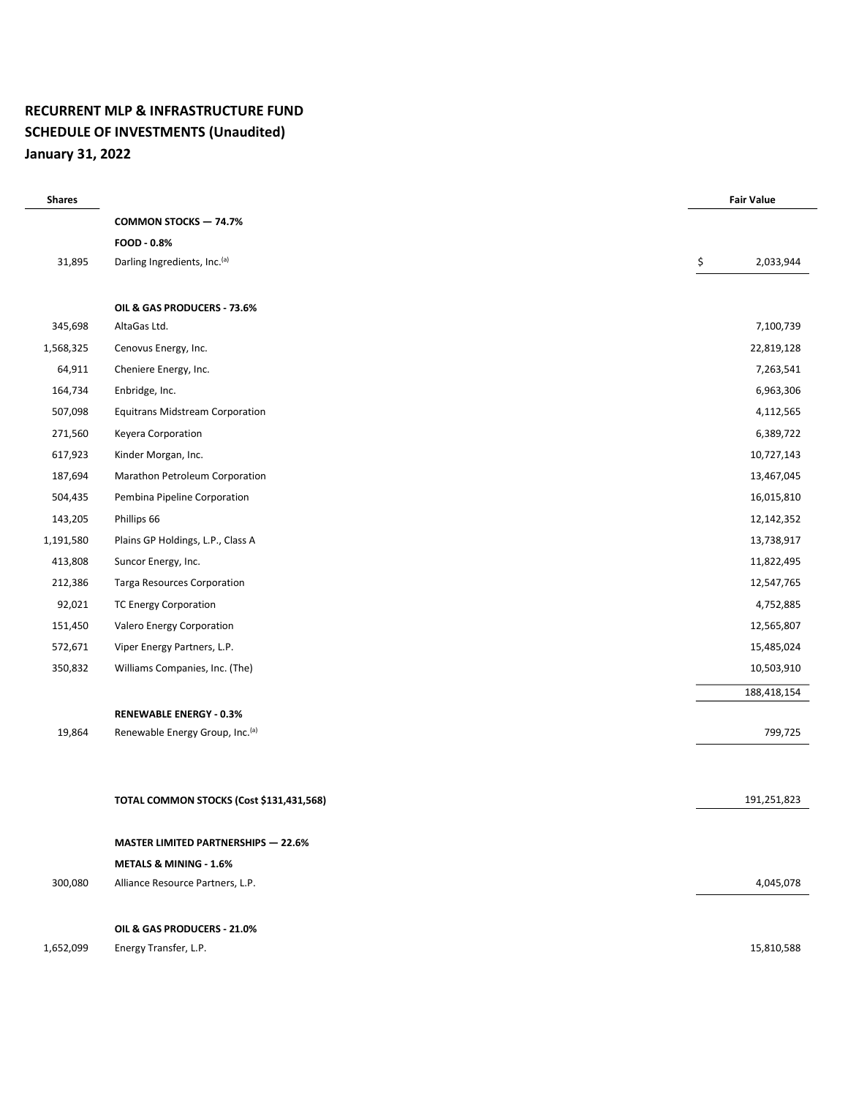## RECURRENT MLP & INFRASTRUCTURE FUND SCHEDULE OF INVESTMENTS (Unaudited) January 31, 2022

| <b>Shares</b> |                                             | <b>Fair Value</b> |             |
|---------------|---------------------------------------------|-------------------|-------------|
|               | <b>COMMON STOCKS - 74.7%</b>                |                   |             |
|               | FOOD - 0.8%                                 |                   |             |
| 31,895        | Darling Ingredients, Inc.(a)                | \$                | 2,033,944   |
|               |                                             |                   |             |
|               | OIL & GAS PRODUCERS - 73.6%                 |                   |             |
| 345,698       | AltaGas Ltd.                                |                   | 7,100,739   |
| 1,568,325     | Cenovus Energy, Inc.                        |                   | 22,819,128  |
| 64,911        | Cheniere Energy, Inc.                       |                   | 7,263,541   |
| 164,734       | Enbridge, Inc.                              |                   | 6,963,306   |
| 507,098       | <b>Equitrans Midstream Corporation</b>      |                   | 4,112,565   |
| 271,560       | Keyera Corporation                          |                   | 6,389,722   |
| 617,923       | Kinder Morgan, Inc.                         |                   | 10,727,143  |
| 187,694       | Marathon Petroleum Corporation              |                   | 13,467,045  |
| 504,435       | Pembina Pipeline Corporation                |                   | 16,015,810  |
| 143,205       | Phillips 66                                 |                   | 12,142,352  |
| 1,191,580     | Plains GP Holdings, L.P., Class A           |                   | 13,738,917  |
| 413,808       | Suncor Energy, Inc.                         |                   | 11,822,495  |
| 212,386       | <b>Targa Resources Corporation</b>          |                   | 12,547,765  |
| 92,021        | <b>TC Energy Corporation</b>                |                   | 4,752,885   |
| 151,450       | Valero Energy Corporation                   |                   | 12,565,807  |
| 572,671       | Viper Energy Partners, L.P.                 |                   | 15,485,024  |
| 350,832       | Williams Companies, Inc. (The)              |                   | 10,503,910  |
|               |                                             |                   | 188,418,154 |
|               | <b>RENEWABLE ENERGY - 0.3%</b>              |                   |             |
| 19,864        | Renewable Energy Group, Inc. <sup>(a)</sup> |                   | 799,725     |
|               |                                             |                   |             |
|               | TOTAL COMMON STOCKS (Cost \$131,431,568)    |                   | 191,251,823 |
|               | <b>MASTER LIMITED PARTNERSHIPS - 22.6%</b>  |                   |             |
|               | METALS & MINING - 1.6%                      |                   |             |
| 300,080       | Alliance Resource Partners, L.P.            |                   | 4,045,078   |
|               | OIL & GAS PRODUCERS - 21.0%                 |                   |             |
| 1,652,099     | Energy Transfer, L.P.                       |                   | 15,810,588  |
|               |                                             |                   |             |